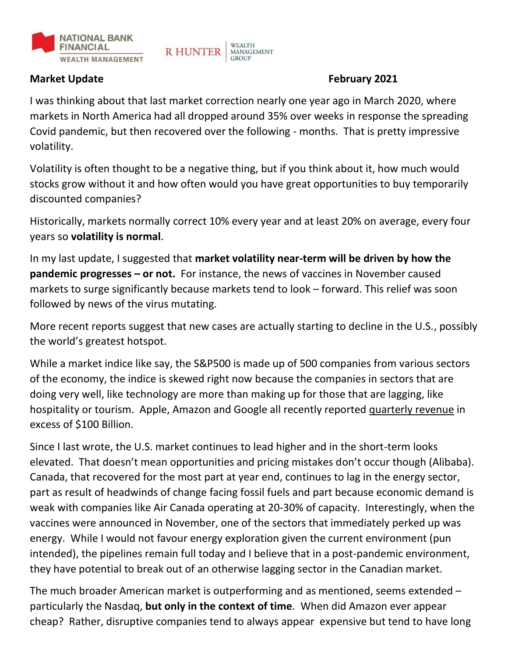

### **Market Update February 2021**

I was thinking about that last market correction nearly one year ago in March 2020, where markets in North America had all dropped around 35% over weeks in response the spreading Covid pandemic, but then recovered over the following - months. That is pretty impressive volatility.

**WEALTH** 

**GROUP** 

MANAGEMENT

**R HUNTER** 

Volatility is often thought to be a negative thing, but if you think about it, how much would stocks grow without it and how often would you have great opportunities to buy temporarily discounted companies?

Historically, markets normally correct 10% every year and at least 20% on average, every four years so **volatility is normal**.

In my last update, I suggested that **market volatility near-term will be driven by how the pandemic progresses – or not.** For instance, the news of vaccines in November caused markets to surge significantly because markets tend to look – forward. This relief was soon followed by news of the virus mutating.

More recent reports suggest that new cases are actually starting to decline in the U.S., possibly the world's greatest hotspot.

While a market indice like say, the S&P500 is made up of 500 companies from various sectors of the economy, the indice is skewed right now because the companies in sectors that are doing very well, like technology are more than making up for those that are lagging, like hospitality or tourism. Apple, Amazon and Google all recently reported quarterly revenue in excess of \$100 Billion.

Since I last wrote, the U.S. market continues to lead higher and in the short-term looks elevated. That doesn't mean opportunities and pricing mistakes don't occur though (Alibaba). Canada, that recovered for the most part at year end, continues to lag in the energy sector, part as result of headwinds of change facing fossil fuels and part because economic demand is weak with companies like Air Canada operating at 20-30% of capacity. Interestingly, when the vaccines were announced in November, one of the sectors that immediately perked up was energy. While I would not favour energy exploration given the current environment (pun intended), the pipelines remain full today and I believe that in a post-pandemic environment, they have potential to break out of an otherwise lagging sector in the Canadian market.

The much broader American market is outperforming and as mentioned, seems extended – particularly the Nasdaq, **but only in the context of time**. When did Amazon ever appear cheap? Rather, disruptive companies tend to always appear expensive but tend to have long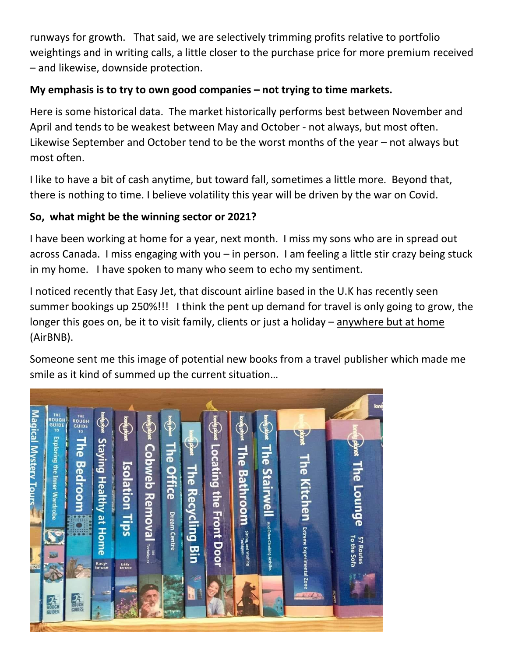runways for growth. That said, we are selectively trimming profits relative to portfolio weightings and in writing calls, a little closer to the purchase price for more premium received – and likewise, downside protection.

# **My emphasis is to try to own good companies – not trying to time markets.**

Here is some historical data. The market historically performs best between November and April and tends to be weakest between May and October - not always, but most often. Likewise September and October tend to be the worst months of the year – not always but most often.

I like to have a bit of cash anytime, but toward fall, sometimes a little more. Beyond that, there is nothing to time. I believe volatility this year will be driven by the war on Covid.

## **So, what might be the winning sector or 2021?**

I have been working at home for a year, next month. I miss my sons who are in spread out across Canada. I miss engaging with you – in person. I am feeling a little stir crazy being stuck in my home. I have spoken to many who seem to echo my sentiment.

I noticed recently that Easy Jet, that discount airline based in the U.K has recently seen summer bookings up 250%!!! I think the pent up demand for travel is only going to grow, the longer this goes on, be it to visit family, clients or just a holiday – anywhere but at home (AirBNB).

Someone sent me this image of potential new books from a travel publisher which made me smile as it kind of summed up the current situation…